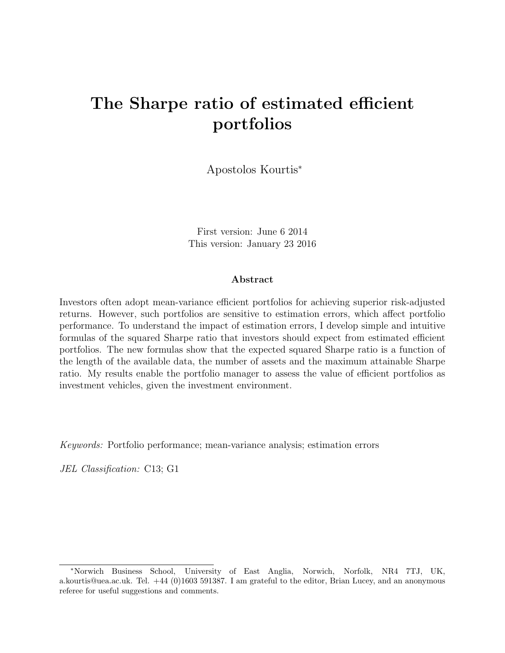# <span id="page-0-0"></span>The Sharpe ratio of estimated efficient portfolios

Apostolos Kourtis<sup>∗</sup>

First version: June 6 2014 This version: January 23 2016

#### Abstract

Investors often adopt mean-variance efficient portfolios for achieving superior risk-adjusted returns. However, such portfolios are sensitive to estimation errors, which affect portfolio performance. To understand the impact of estimation errors, I develop simple and intuitive formulas of the squared Sharpe ratio that investors should expect from estimated efficient portfolios. The new formulas show that the expected squared Sharpe ratio is a function of the length of the available data, the number of assets and the maximum attainable Sharpe ratio. My results enable the portfolio manager to assess the value of efficient portfolios as investment vehicles, given the investment environment.

Keywords: Portfolio performance; mean-variance analysis; estimation errors

JEL Classification: C13; G1

<sup>∗</sup>Norwich Business School, University of East Anglia, Norwich, Norfolk, NR4 7TJ, UK, a.kourtis@uea.ac.uk. Tel. +44 (0)1603 591387. I am grateful to the editor, Brian Lucey, and an anonymous referee for useful suggestions and comments.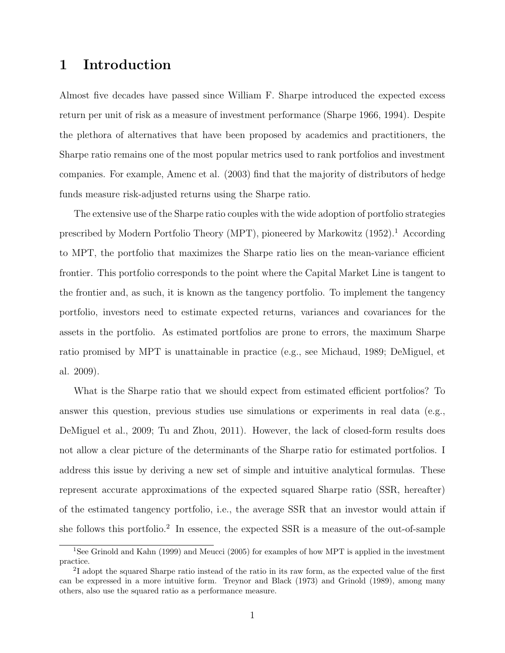# 1 Introduction

Almost five decades have passed since William F. Sharpe introduced the expected excess return per unit of risk as a measure of investment performance (Sharpe 1966, 1994). Despite the plethora of alternatives that have been proposed by academics and practitioners, the Sharpe ratio remains one of the most popular metrics used to rank portfolios and investment companies. For example, Amenc et al. (2003) find that the majority of distributors of hedge funds measure risk-adjusted returns using the Sharpe ratio.

The extensive use of the Sharpe ratio couples with the wide adoption of portfolio strategies prescribed by Modern Portfolio Theory (MPT), pioneered by Markowitz ([1](#page-0-0)952).<sup>1</sup> According to MPT, the portfolio that maximizes the Sharpe ratio lies on the mean-variance efficient frontier. This portfolio corresponds to the point where the Capital Market Line is tangent to the frontier and, as such, it is known as the tangency portfolio. To implement the tangency portfolio, investors need to estimate expected returns, variances and covariances for the assets in the portfolio. As estimated portfolios are prone to errors, the maximum Sharpe ratio promised by MPT is unattainable in practice (e.g., see Michaud, 1989; DeMiguel, et al. 2009).

What is the Sharpe ratio that we should expect from estimated efficient portfolios? To answer this question, previous studies use simulations or experiments in real data (e.g., DeMiguel et al., 2009; Tu and Zhou, 2011). However, the lack of closed-form results does not allow a clear picture of the determinants of the Sharpe ratio for estimated portfolios. I address this issue by deriving a new set of simple and intuitive analytical formulas. These represent accurate approximations of the expected squared Sharpe ratio (SSR, hereafter) of the estimated tangency portfolio, i.e., the average SSR that an investor would attain if she follows this portfolio.<sup>[2](#page-0-0)</sup> In essence, the expected SSR is a measure of the out-of-sample

<sup>1</sup>See Grinold and Kahn (1999) and Meucci (2005) for examples of how MPT is applied in the investment practice.

<sup>&</sup>lt;sup>2</sup>I adopt the squared Sharpe ratio instead of the ratio in its raw form, as the expected value of the first can be expressed in a more intuitive form. Treynor and Black (1973) and Grinold (1989), among many others, also use the squared ratio as a performance measure.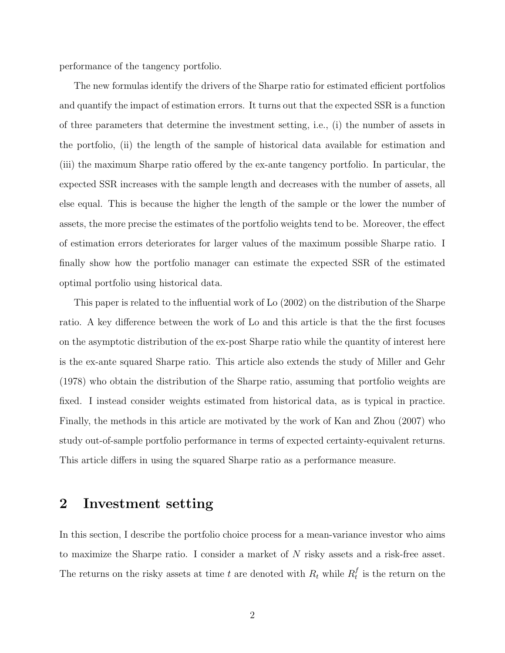performance of the tangency portfolio.

The new formulas identify the drivers of the Sharpe ratio for estimated efficient portfolios and quantify the impact of estimation errors. It turns out that the expected SSR is a function of three parameters that determine the investment setting, i.e., (i) the number of assets in the portfolio, (ii) the length of the sample of historical data available for estimation and (iii) the maximum Sharpe ratio offered by the ex-ante tangency portfolio. In particular, the expected SSR increases with the sample length and decreases with the number of assets, all else equal. This is because the higher the length of the sample or the lower the number of assets, the more precise the estimates of the portfolio weights tend to be. Moreover, the effect of estimation errors deteriorates for larger values of the maximum possible Sharpe ratio. I finally show how the portfolio manager can estimate the expected SSR of the estimated optimal portfolio using historical data.

This paper is related to the influential work of Lo (2002) on the distribution of the Sharpe ratio. A key difference between the work of Lo and this article is that the the first focuses on the asymptotic distribution of the ex-post Sharpe ratio while the quantity of interest here is the ex-ante squared Sharpe ratio. This article also extends the study of Miller and Gehr (1978) who obtain the distribution of the Sharpe ratio, assuming that portfolio weights are fixed. I instead consider weights estimated from historical data, as is typical in practice. Finally, the methods in this article are motivated by the work of Kan and Zhou (2007) who study out-of-sample portfolio performance in terms of expected certainty-equivalent returns. This article differs in using the squared Sharpe ratio as a performance measure.

#### 2 Investment setting

In this section, I describe the portfolio choice process for a mean-variance investor who aims to maximize the Sharpe ratio. I consider a market of N risky assets and a risk-free asset. The returns on the risky assets at time t are denoted with  $R_t$  while  $R_t^f$  $t \atop t}$  is the return on the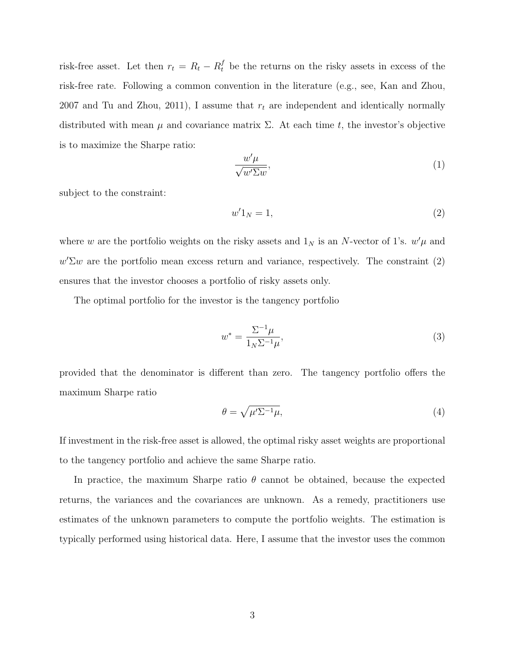risk-free asset. Let then  $r_t = R_t - R_t^f$  be the returns on the risky assets in excess of the risk-free rate. Following a common convention in the literature (e.g., see, Kan and Zhou, 2007 and Tu and Zhou, 2011), I assume that  $r_t$  are independent and identically normally distributed with mean  $\mu$  and covariance matrix  $\Sigma$ . At each time t, the investor's objective is to maximize the Sharpe ratio:

$$
\frac{w'\mu}{\sqrt{w'\Sigma w}},\tag{1}
$$

subject to the constraint:

<span id="page-3-0"></span>
$$
w'1_N = 1,\t\t(2)
$$

where w are the portfolio weights on the risky assets and  $1_N$  is an N-vector of 1's.  $w'\mu$  and  $w' \Sigma w$  are the portfolio mean excess return and variance, respectively. The constraint  $(2)$ ensures that the investor chooses a portfolio of risky assets only.

The optimal portfolio for the investor is the tangency portfolio

$$
w^* = \frac{\Sigma^{-1}\mu}{1_N \Sigma^{-1}\mu},\tag{3}
$$

provided that the denominator is different than zero. The tangency portfolio offers the maximum Sharpe ratio

$$
\theta = \sqrt{\mu' \Sigma^{-1} \mu},\tag{4}
$$

If investment in the risk-free asset is allowed, the optimal risky asset weights are proportional to the tangency portfolio and achieve the same Sharpe ratio.

In practice, the maximum Sharpe ratio  $\theta$  cannot be obtained, because the expected returns, the variances and the covariances are unknown. As a remedy, practitioners use estimates of the unknown parameters to compute the portfolio weights. The estimation is typically performed using historical data. Here, I assume that the investor uses the common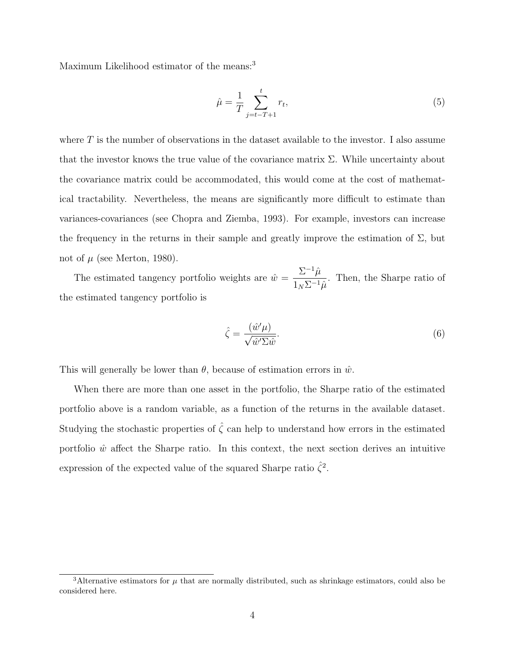Maximum Likelihood estimator of the means:<sup>[3](#page-0-0)</sup>

$$
\hat{\mu} = \frac{1}{T} \sum_{j=t-T+1}^{t} r_t,\tag{5}
$$

where  $T$  is the number of observations in the dataset available to the investor. I also assume that the investor knows the true value of the covariance matrix  $\Sigma$ . While uncertainty about the covariance matrix could be accommodated, this would come at the cost of mathematical tractability. Nevertheless, the means are significantly more difficult to estimate than variances-covariances (see Chopra and Ziemba, 1993). For example, investors can increase the frequency in the returns in their sample and greatly improve the estimation of  $\Sigma$ , but not of  $\mu$  (see Merton, 1980).

The estimated tangency portfolio weights are  $\hat{w} =$  $\Sigma^{-1}\hat{\mu}$  $\frac{2\epsilon}{1_N \Sigma^{-1} \hat{\mu}}$ . Then, the Sharpe ratio of the estimated tangency portfolio is

$$
\hat{\zeta} = \frac{(\hat{w}'\mu)}{\sqrt{\hat{w}'\Sigma\hat{w}}}.\tag{6}
$$

This will generally be lower than  $\theta$ , because of estimation errors in  $\hat{w}$ .

When there are more than one asset in the portfolio, the Sharpe ratio of the estimated portfolio above is a random variable, as a function of the returns in the available dataset. Studying the stochastic properties of  $\hat{\zeta}$  can help to understand how errors in the estimated portfolio  $\hat{w}$  affect the Sharpe ratio. In this context, the next section derives an intuitive expression of the expected value of the squared Sharpe ratio  $\hat{\zeta}^2$ .

<sup>&</sup>lt;sup>3</sup>Alternative estimators for  $\mu$  that are normally distributed, such as shrinkage estimators, could also be considered here.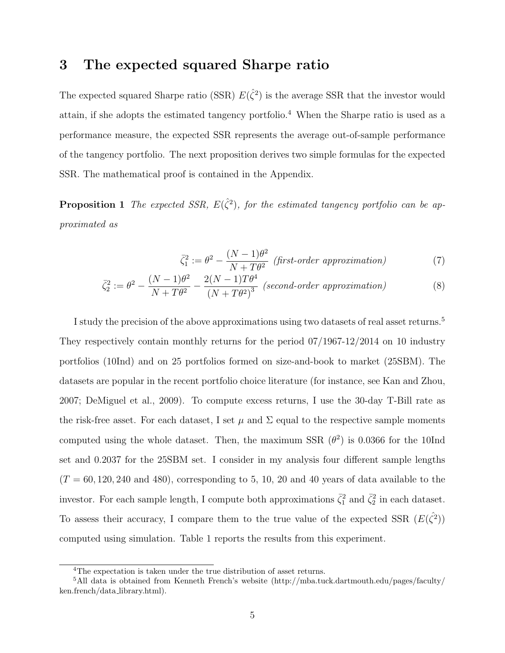#### 3 The expected squared Sharpe ratio

The expected squared Sharpe ratio (SSR)  $E(\hat{\zeta}^2)$  is the average SSR that the investor would attain, if she adopts the estimated tangency portfolio.[4](#page-0-0) When the Sharpe ratio is used as a performance measure, the expected SSR represents the average out-of-sample performance of the tangency portfolio. The next proposition derives two simple formulas for the expected SSR. The mathematical proof is contained in the Appendix.

**Proposition 1** The expected SSR,  $E(\hat{\zeta}^2)$ , for the estimated tangency portfolio can be approximated as

<span id="page-5-0"></span>
$$
\bar{\zeta}_1^2 := \theta^2 - \frac{(N-1)\theta^2}{N+T\theta^2} \text{ (first-order approximation)} \tag{7}
$$

$$
\bar{\zeta}_2^2 := \theta^2 - \frac{(N-1)\theta^2}{N+T\theta^2} - \frac{2(N-1)T\theta^4}{(N+T\theta^2)^3} \ (second-order\ approximation)
$$
\n(8)

I study the precision of the above approximations using two datasets of real asset returns.[5](#page-0-0) They respectively contain monthly returns for the period 07/1967-12/2014 on 10 industry portfolios (10Ind) and on 25 portfolios formed on size-and-book to market (25SBM). The datasets are popular in the recent portfolio choice literature (for instance, see Kan and Zhou, 2007; DeMiguel et al., 2009). To compute excess returns, I use the 30-day T-Bill rate as the risk-free asset. For each dataset, I set  $\mu$  and  $\Sigma$  equal to the respective sample moments computed using the whole dataset. Then, the maximum SSR  $(\theta^2)$  is 0.0366 for the 10Ind set and 0.2037 for the 25SBM set. I consider in my analysis four different sample lengths  $(T = 60, 120, 240, 480)$ , corresponding to 5, 10, 20 and 40 years of data available to the investor. For each sample length, I compute both approximations  $\bar{\zeta}_1^2$  and  $\bar{\zeta}_2^2$  in each dataset. To assess their accuracy, I compare them to the true value of the expected SSR  $(E(\hat{\zeta}^2))$ computed using simulation. Table 1 reports the results from this experiment.

<sup>4</sup>The expectation is taken under the true distribution of asset returns.

<sup>5</sup>All data is obtained from Kenneth French's website (http://mba.tuck.dartmouth.edu/pages/faculty/ ken.french/data library.html).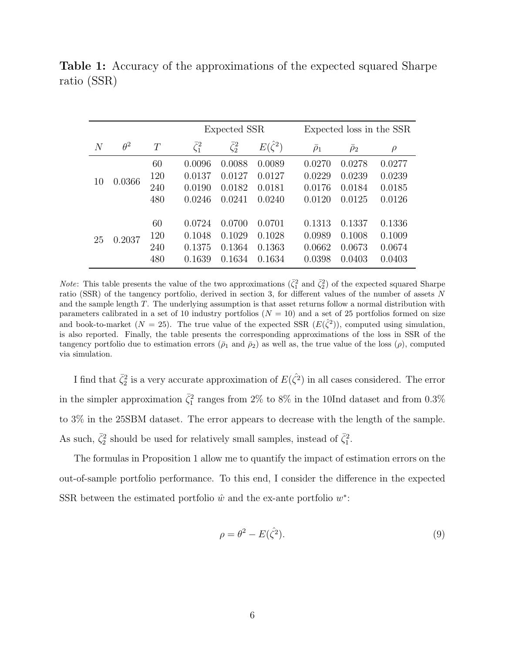|                |            |     | Expected SSR      |                   |                    |                | Expected loss in the SSR |        |  |
|----------------|------------|-----|-------------------|-------------------|--------------------|----------------|--------------------------|--------|--|
| $\overline{N}$ | $\theta^2$ | T   | $\bar{\zeta}_1^2$ | $\bar{\zeta}_2^2$ | $E(\hat{\zeta}^2)$ | $\bar{\rho}_1$ | $\bar{\rho}_2$           | $\rho$ |  |
| 10             | 0.0366     | 60  | 0.0096            | 0.0088            | 0.0089             | 0.0270         | 0.0278                   | 0.0277 |  |
|                |            | 120 | 0.0137            | 0.0127            | 0.0127             | 0.0229         | 0.0239                   | 0.0239 |  |
|                |            | 240 | 0.0190            | 0.0182            | 0.0181             | 0.0176         | 0.0184                   | 0.0185 |  |
|                |            | 480 | 0.0246            | 0.0241            | 0.0240             | 0.0120         | 0.0125                   | 0.0126 |  |
|                |            |     |                   |                   |                    |                |                          |        |  |
| 25             | 0.2037     | 60  | 0.0724            | 0.0700            | 0.0701             | 0.1313         | 0.1337                   | 0.1336 |  |
|                |            | 120 | 0.1048            | 0.1029            | 0.1028             | 0.0989         | 0.1008                   | 0.1009 |  |
|                |            | 240 | 0.1375            | 0.1364            | 0.1363             | 0.0662         | 0.0673                   | 0.0674 |  |
|                |            | 480 | 0.1639            | 0.1634            | 0.1634             | 0.0398         | 0.0403                   | 0.0403 |  |

Table 1: Accuracy of the approximations of the expected squared Sharpe ratio (SSR)

*Note*: This table presents the value of the two approximations  $(\bar{\zeta}_1^2 \text{ and } \bar{\zeta}_2^2)$  of the expected squared Sharpe ratio (SSR) of the tangency portfolio, derived in section 3, for different values of the number of assets N and the sample length T. The underlying assumption is that asset returns follow a normal distribution with parameters calibrated in a set of 10 industry portfolios  $(N = 10)$  and a set of 25 portfolios formed on size and book-to-market  $(N = 25)$ . The true value of the expected SSR  $(E(\hat{\zeta}^2))$ , computed using simulation, is also reported. Finally, the table presents the corresponding approximations of the loss in SSR of the tangency portfolio due to estimation errors ( $\bar{\rho}_1$  and  $\bar{\rho}_2$ ) as well as, the true value of the loss ( $\rho$ ), computed via simulation.

I find that  $\bar{\zeta}_2^2$  is a very accurate approximation of  $E(\hat{\zeta}^2)$  in all cases considered. The error in the simpler approximation  $\bar{\zeta}_1^2$  ranges from 2% to 8% in the 10Ind dataset and from 0.3% to 3% in the 25SBM dataset. The error appears to decrease with the length of the sample. As such,  $\bar{\zeta}_2^2$  should be used for relatively small samples, instead of  $\bar{\zeta}_1^2$ .

The formulas in Proposition 1 allow me to quantify the impact of estimation errors on the out-of-sample portfolio performance. To this end, I consider the difference in the expected SSR between the estimated portfolio  $\hat{w}$  and the ex-ante portfolio  $w^*$ :

$$
\rho = \theta^2 - E(\hat{\zeta}^2). \tag{9}
$$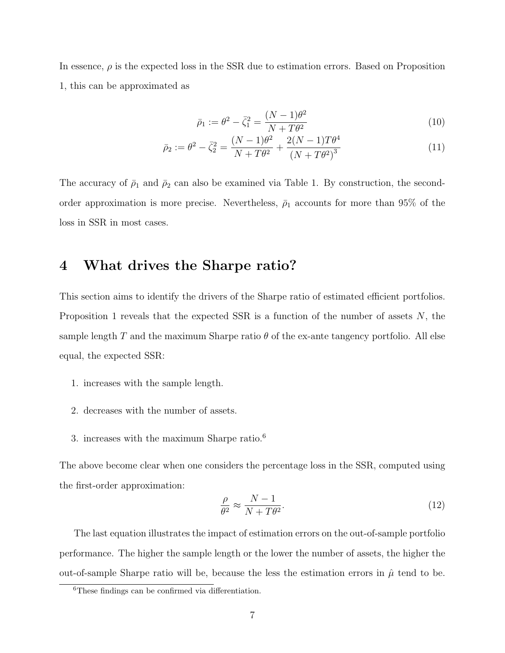In essence,  $\rho$  is the expected loss in the SSR due to estimation errors. Based on Proposition 1, this can be approximated as

$$
\bar{\rho}_1 := \theta^2 - \bar{\zeta}_1^2 = \frac{(N-1)\theta^2}{N+T\theta^2}
$$
\n(10)

<span id="page-7-0"></span>
$$
\bar{\rho}_2 := \theta^2 - \bar{\zeta}_2^2 = \frac{(N-1)\theta^2}{N+T\theta^2} + \frac{2(N-1)T\theta^4}{(N+T\theta^2)^3}
$$
(11)

The accuracy of  $\bar{\rho}_1$  and  $\bar{\rho}_2$  can also be examined via Table 1. By construction, the secondorder approximation is more precise. Nevertheless,  $\bar{\rho}_1$  accounts for more than 95% of the loss in SSR in most cases.

### 4 What drives the Sharpe ratio?

This section aims to identify the drivers of the Sharpe ratio of estimated efficient portfolios. Proposition 1 reveals that the expected SSR is a function of the number of assets  $N$ , the sample length T and the maximum Sharpe ratio  $\theta$  of the ex-ante tangency portfolio. All else equal, the expected SSR:

- 1. increases with the sample length.
- 2. decreases with the number of assets.
- 3. increases with the maximum Sharpe ratio.[6](#page-0-0)

The above become clear when one considers the percentage loss in the SSR, computed using the first-order approximation:

$$
\frac{\rho}{\theta^2} \approx \frac{N-1}{N+T\theta^2}.\tag{12}
$$

The last equation illustrates the impact of estimation errors on the out-of-sample portfolio performance. The higher the sample length or the lower the number of assets, the higher the out-of-sample Sharpe ratio will be, because the less the estimation errors in  $\hat{\mu}$  tend to be.

<sup>6</sup>These findings can be confirmed via differentiation.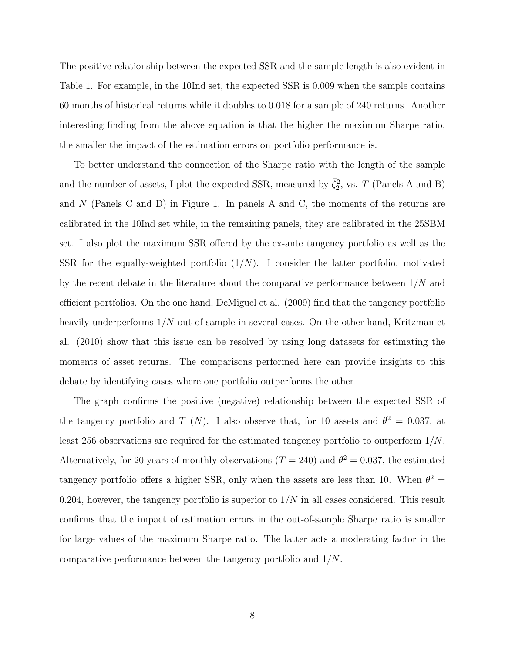The positive relationship between the expected SSR and the sample length is also evident in Table 1. For example, in the 10Ind set, the expected SSR is 0.009 when the sample contains 60 months of historical returns while it doubles to 0.018 for a sample of 240 returns. Another interesting finding from the above equation is that the higher the maximum Sharpe ratio, the smaller the impact of the estimation errors on portfolio performance is.

To better understand the connection of the Sharpe ratio with the length of the sample and the number of assets, I plot the expected SSR, measured by  $\bar{\zeta}_2^2$ , vs. T (Panels A and B) and N (Panels C and D) in Figure 1. In panels A and C, the moments of the returns are calibrated in the 10Ind set while, in the remaining panels, they are calibrated in the 25SBM set. I also plot the maximum SSR offered by the ex-ante tangency portfolio as well as the SSR for the equally-weighted portfolio  $(1/N)$ . I consider the latter portfolio, motivated by the recent debate in the literature about the comparative performance between  $1/N$  and efficient portfolios. On the one hand, DeMiguel et al. (2009) find that the tangency portfolio heavily underperforms  $1/N$  out-of-sample in several cases. On the other hand, Kritzman et al. (2010) show that this issue can be resolved by using long datasets for estimating the moments of asset returns. The comparisons performed here can provide insights to this debate by identifying cases where one portfolio outperforms the other.

The graph confirms the positive (negative) relationship between the expected SSR of the tangency portfolio and T (N). I also observe that, for 10 assets and  $\theta^2 = 0.037$ , at least 256 observations are required for the estimated tangency portfolio to outperform 1/N. Alternatively, for 20 years of monthly observations  $(T = 240)$  and  $\theta^2 = 0.037$ , the estimated tangency portfolio offers a higher SSR, only when the assets are less than 10. When  $\theta^2 =$ 0.204, however, the tangency portfolio is superior to  $1/N$  in all cases considered. This result confirms that the impact of estimation errors in the out-of-sample Sharpe ratio is smaller for large values of the maximum Sharpe ratio. The latter acts a moderating factor in the comparative performance between the tangency portfolio and 1/N.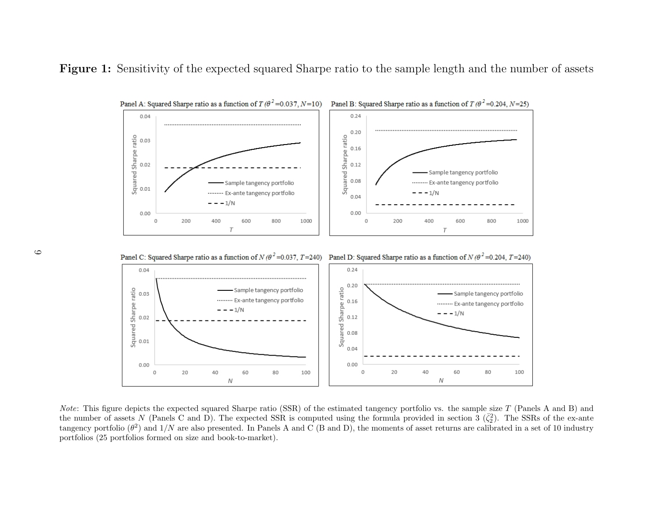



Note: This figure depicts the expected squared Sharpe ratio (SSR) of the estimated tangency portfolio vs. the sample size  $T$  (Panels A and B) and the number of assets N (Panels C and D). The expected SSR is computed using the formula provided in section 3  $(\bar{\zeta}_2^2)$ . The SSRs of the ex-ante tangency portfolio  $(\theta^2)$  and  $1/N$  are also presented. In Panels A and C (B and D), the moments of asset returns are calibrated in a set of 10 industry portfolios (25 portfolios formed on size and book-to-market).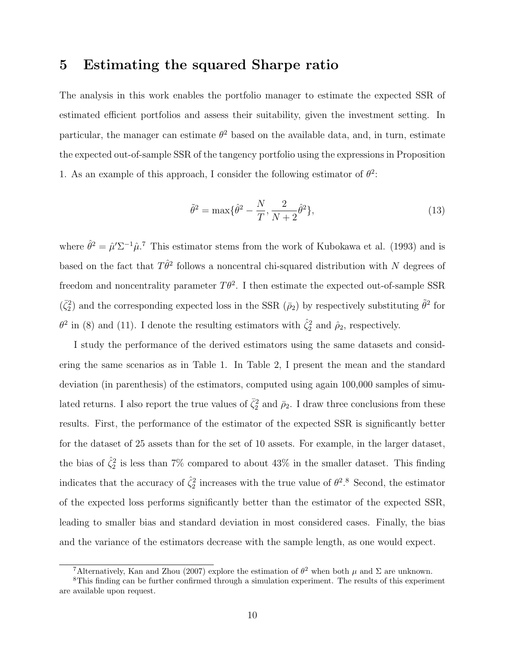#### 5 Estimating the squared Sharpe ratio

The analysis in this work enables the portfolio manager to estimate the expected SSR of estimated efficient portfolios and assess their suitability, given the investment setting. In particular, the manager can estimate  $\theta^2$  based on the available data, and, in turn, estimate the expected out-of-sample SSR of the tangency portfolio using the expressions in Proposition 1. As an example of this approach, I consider the following estimator of  $\theta^2$ :

$$
\tilde{\theta}^2 = \max\{\hat{\theta}^2 - \frac{N}{T}, \frac{2}{N+2}\hat{\theta}^2\},\tag{13}
$$

where  $\hat{\theta}^2 = \hat{\mu}' \Sigma^{-1} \hat{\mu}$ .<sup>[7](#page-0-0)</sup> This estimator stems from the work of Kubokawa et al. (1993) and is based on the fact that  $T\hat{\theta}^2$  follows a noncentral chi-squared distribution with N degrees of freedom and noncentrality parameter  $T\theta^2$ . I then estimate the expected out-of-sample SSR  $(\bar{\zeta}_2^2)$  and the corresponding expected loss in the SSR  $(\bar{\rho}_2)$  by respectively substituting  $\tilde{\theta}^2$  for  $\theta^2$  in [\(8\)](#page-5-0) and [\(11\)](#page-7-0). I denote the resulting estimators with  $\hat{\zeta}_2^2$  and  $\hat{\rho}_2$ , respectively.

I study the performance of the derived estimators using the same datasets and considering the same scenarios as in Table 1. In Table 2, I present the mean and the standard deviation (in parenthesis) of the estimators, computed using again 100,000 samples of simulated returns. I also report the true values of  $\bar{\zeta}_2^2$  and  $\bar{\rho}_2$ . I draw three conclusions from these results. First, the performance of the estimator of the expected SSR is significantly better for the dataset of 25 assets than for the set of 10 assets. For example, in the larger dataset, the bias of  $\hat{\zeta}_2^2$  is less than 7% compared to about 43% in the smaller dataset. This finding indicates that the accuracy of  $\hat{\zeta}_2^2$  increases with the true value of  $\theta^2$ .<sup>[8](#page-0-0)</sup> Second, the estimator of the expected loss performs significantly better than the estimator of the expected SSR, leading to smaller bias and standard deviation in most considered cases. Finally, the bias and the variance of the estimators decrease with the sample length, as one would expect.

<sup>&</sup>lt;sup>7</sup>Alternatively, Kan and Zhou (2007) explore the estimation of  $\theta^2$  when both  $\mu$  and  $\Sigma$  are unknown.

<sup>8</sup>This finding can be further confirmed through a simulation experiment. The results of this experiment are available upon request.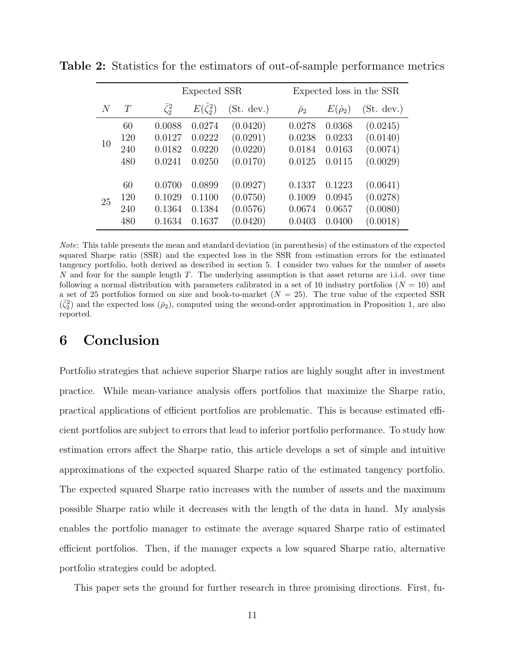|    |     |                   | Expected SSR         |            |                | Expected loss in the SSR |            |  |  |
|----|-----|-------------------|----------------------|------------|----------------|--------------------------|------------|--|--|
| N  | T   | $\bar{\zeta}_2^2$ | $E(\hat{\zeta}_2^2)$ | (St. dev.) | $\bar{\rho}_2$ | $E(\hat{\rho}_2)$        | (St. dev.) |  |  |
| 10 | 60  | 0.0088            | 0.0274               | (0.0420)   | 0.0278         | 0.0368                   | (0.0245)   |  |  |
|    | 120 | 0.0127            | 0.0222               | (0.0291)   | 0.0238         | 0.0233                   | (0.0140)   |  |  |
|    | 240 | 0.0182            | 0.0220               | (0.0220)   | 0.0184         | 0.0163                   | (0.0074)   |  |  |
|    | 480 | 0.0241            | 0.0250               | (0.0170)   | 0.0125         | 0.0115                   | (0.0029)   |  |  |
|    |     |                   |                      |            |                |                          |            |  |  |
| 25 | 60  | 0.0700            | 0.0899               | (0.0927)   | 0.1337         | 0.1223                   | (0.0641)   |  |  |
|    | 120 | 0.1029            | 0.1100               | (0.0750)   | 0.1009         | 0.0945                   | (0.0278)   |  |  |
|    | 240 | 0.1364            | 0.1384               | (0.0576)   | 0.0674         | 0.0657                   | (0.0080)   |  |  |
|    | 480 | 0.1634            | 0.1637               | (0.0420)   | 0.0403         | 0.0400                   | (0.0018)   |  |  |

Table 2: Statistics for the estimators of out-of-sample performance metrics

Note: This table presents the mean and standard deviation (in parenthesis) of the estimators of the expected squared Sharpe ratio (SSR) and the expected loss in the SSR from estimation errors for the estimated tangency portfolio, both derived as described in section 5. I consider two values for the number of assets N and four for the sample length T. The underlying assumption is that asset returns are i.i.d. over time following a normal distribution with parameters calibrated in a set of 10 industry portfolios ( $N = 10$ ) and a set of 25 portfolios formed on size and book-to-market  $(N = 25)$ . The true value of the expected SSR  $(\bar{\zeta}_2^2)$  and the expected loss  $(\bar{\rho}_2)$ , computed using the second-order approximation in Proposition 1, are also reported.

### 6 Conclusion

Portfolio strategies that achieve superior Sharpe ratios are highly sought after in investment practice. While mean-variance analysis offers portfolios that maximize the Sharpe ratio, practical applications of efficient portfolios are problematic. This is because estimated efficient portfolios are subject to errors that lead to inferior portfolio performance. To study how estimation errors affect the Sharpe ratio, this article develops a set of simple and intuitive approximations of the expected squared Sharpe ratio of the estimated tangency portfolio. The expected squared Sharpe ratio increases with the number of assets and the maximum possible Sharpe ratio while it decreases with the length of the data in hand. My analysis enables the portfolio manager to estimate the average squared Sharpe ratio of estimated efficient portfolios. Then, if the manager expects a low squared Sharpe ratio, alternative portfolio strategies could be adopted.

This paper sets the ground for further research in three promising directions. First, fu-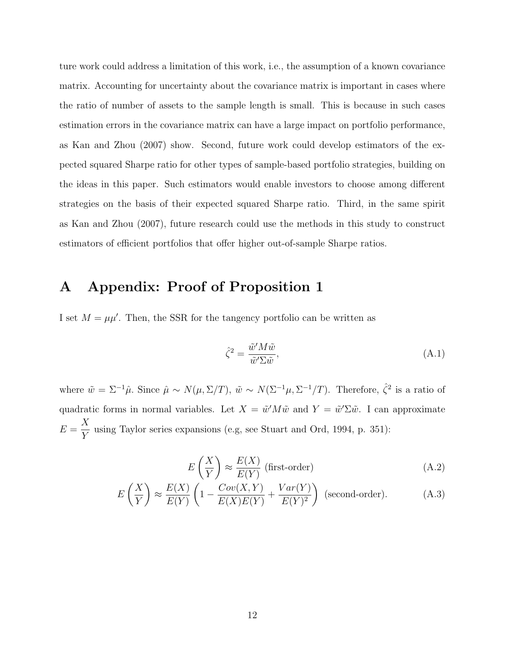ture work could address a limitation of this work, i.e., the assumption of a known covariance matrix. Accounting for uncertainty about the covariance matrix is important in cases where the ratio of number of assets to the sample length is small. This is because in such cases estimation errors in the covariance matrix can have a large impact on portfolio performance, as Kan and Zhou (2007) show. Second, future work could develop estimators of the expected squared Sharpe ratio for other types of sample-based portfolio strategies, building on the ideas in this paper. Such estimators would enable investors to choose among different strategies on the basis of their expected squared Sharpe ratio. Third, in the same spirit as Kan and Zhou (2007), future research could use the methods in this study to construct estimators of efficient portfolios that offer higher out-of-sample Sharpe ratios.

# A Appendix: Proof of Proposition 1

I set  $M = \mu\mu'$ . Then, the SSR for the tangency portfolio can be written as

$$
\hat{\zeta}^2 = \frac{\tilde{w}' M \tilde{w}}{\tilde{w}' \Sigma \tilde{w}},\tag{A.1}
$$

where  $\tilde{w} = \Sigma^{-1} \hat{\mu}$ . Since  $\hat{\mu} \sim N(\mu, \Sigma/T)$ ,  $\tilde{w} \sim N(\Sigma^{-1} \mu, \Sigma^{-1} / T)$ . Therefore,  $\hat{\zeta}^2$  is a ratio of quadratic forms in normal variables. Let  $X = \tilde{w}' M \tilde{w}$  and  $Y = \tilde{w}' \Sigma \tilde{w}$ . I can approximate  $E =$  $\boldsymbol{X}$ Y using Taylor series expansions (e.g, see Stuart and Ord, 1994, p. 351):

$$
E\left(\frac{X}{Y}\right) \approx \frac{E(X)}{E(Y)} \text{ (first-order)} \tag{A.2}
$$

<span id="page-12-0"></span>
$$
E\left(\frac{X}{Y}\right) \approx \frac{E(X)}{E(Y)} \left(1 - \frac{Cov(X, Y)}{E(X)E(Y)} + \frac{Var(Y)}{E(Y)^2}\right)
$$
 (second-order). (A.3)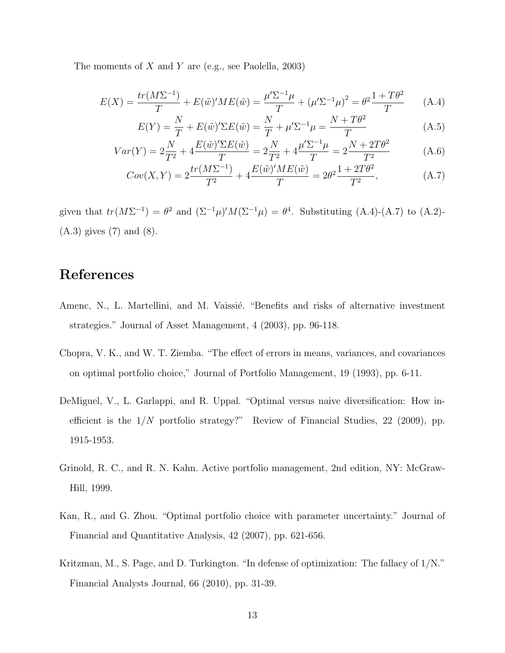The moments of X and Y are (e.g., see Paolella, 2003)

<span id="page-13-0"></span>
$$
E(X) = \frac{tr(M\Sigma^{-1})}{T} + E(\tilde{w})'ME(\tilde{w}) = \frac{\mu'\Sigma^{-1}\mu}{T} + (\mu'\Sigma^{-1}\mu)^2 = \theta^2 \frac{1+T\theta^2}{T}
$$
 (A.4)

$$
E(Y) = \frac{N}{T} + E(\tilde{w})' \Sigma E(\tilde{w}) = \frac{N}{T} + \mu' \Sigma^{-1} \mu = \frac{N + T\theta^2}{T}
$$
(A.5)

$$
Var(Y) = 2\frac{N}{T^2} + 4\frac{E(\tilde{w})'\Sigma E(\tilde{w})}{T} = 2\frac{N}{T^2} + 4\frac{\mu'\Sigma^{-1}\mu}{T} = 2\frac{N + 2T\theta^2}{T^2}
$$
(A.6)

$$
Cov(X,Y) = 2\frac{tr(M\Sigma^{-1})}{T^2} + 4\frac{E(\tilde{w})'ME(\tilde{w})}{T} = 2\theta^2 \frac{1 + 2T\theta^2}{T^2},
$$
 (A.7)

given that  $tr(M\Sigma^{-1}) = \theta^2$  and  $(\Sigma^{-1}\mu)'M(\Sigma^{-1}\mu) = \theta^4$ . Substituting [\(A.4\)](#page-13-0)-[\(A.7\)](#page-13-0) to [\(A.2\)](#page-12-0)-[\(A.3\)](#page-12-0) gives [\(7\)](#page-5-0) and [\(8\)](#page-5-0).

# References

- Amenc, N., L. Martellini, and M. Vaissié. "Benefits and risks of alternative investment strategies." Journal of Asset Management, 4 (2003), pp. 96-118.
- Chopra, V. K., and W. T. Ziemba. "The effect of errors in means, variances, and covariances on optimal portfolio choice," Journal of Portfolio Management, 19 (1993), pp. 6-11.
- DeMiguel, V., L. Garlappi, and R. Uppal. "Optimal versus naive diversification: How inefficient is the  $1/N$  portfolio strategy?" Review of Financial Studies, 22 (2009), pp. 1915-1953.
- Grinold, R. C., and R. N. Kahn. Active portfolio management, 2nd edition, NY: McGraw-Hill, 1999.
- Kan, R., and G. Zhou. "Optimal portfolio choice with parameter uncertainty." Journal of Financial and Quantitative Analysis, 42 (2007), pp. 621-656.
- Kritzman, M., S. Page, and D. Turkington. "In defense of optimization: The fallacy of 1/N." Financial Analysts Journal, 66 (2010), pp. 31-39.